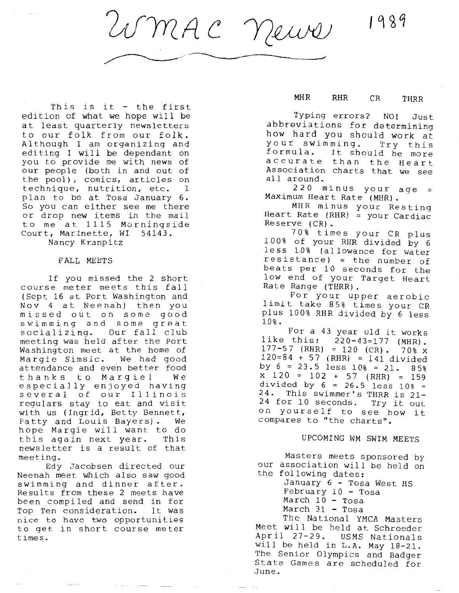1989

UMAC News

This is it - the first edition of what we hope will be at least quarterly newsletters to our folk from our folk. Although I am organizing and editing I will be dependant on you to provide me with news of our people (both in and out of the pool), comics, articles on technique, nutrition, etc. I plan to be at Tosa January 6. So you can either see me there or drop new items in the mail to me at 1115 Morningside Court, Marinette, WI 54143.

Nancy Kranpitz

#### FALL MEETS

If you missed the 2 short course meter meets this fall (Sept 16 at Port Washington and Nov 4 at Neenah) then you missed out on some good swimming and some great socializing. Our fall club meeting was held after the Port Washington meet at the home of Margie Simsic. We had good attendance and even better food thanks to Margie! We especially enjoyed having several of our Illinois regulars stay to eat and visit with us (Ingrid, Betty Bennett, Patty and Louis Bayers). We hope Margie will want to do<br>this again next year. This this again next year. newsletter is a result of that meeting.

Edy Jacobsen directed our Neenah meet which also saw good swimming and dinner after. Results from these 2 meets have been compiled and send in for Top Ten consideration. It was nice to have two opportunities to get in short course meter times.

## **MHR RHR** CR THRR

Typing errors? NO! Just abbreviations for determining how hard you should work at your swimming. Try this formula. It should be more accurate than the Heart Association charts that we see all around.

220 minus your age = Maximum Heart Rate (MHR).

MHR minus your Resting Heart Rate (RHR) = your Cardiac Reserve (CR).

70% times your CR plus 100% of your RHR divided by 6 less 10% (allowance for water resistance) = the number of beats per 10 seconds for the low end of your Target Heart Rate Range (THRR).

For your upper aerobic limit take 85% times your CR plus 100% RHR divided by 6 less 10%.

For a 43 year old it works<br>like this: 220-43=177 (MHR).  $177 - 57$  (RHR) = 120 (CR) . 70% x 120=84 + 57 (RHR) = 141 divided by  $6 = 23.5$  less  $10\% = 21.85\%$  $x$  120 = 102 + 57 (RHR) = 159 divided by  $6 = 26.5$  less  $10\% =$ 24. This swimmer's THRR is 21- 24 for 10 seconds. Try it out on yourself to see how it compares to "the charts".

## UPCOMING **WM SWIM** MEETS

Masters meets sponsored by our association will be held on the following dates:

January 6 - Tosa West HS February 10 - Tosa March 10 - Tosa March 31 - Tosa

The National YMCA Masters Meet will be held at Schroeder April 27-29. USMS Nationals will be held in L.A. May 18-21. The Senior Olympics and Badger State Games are scheduled for June.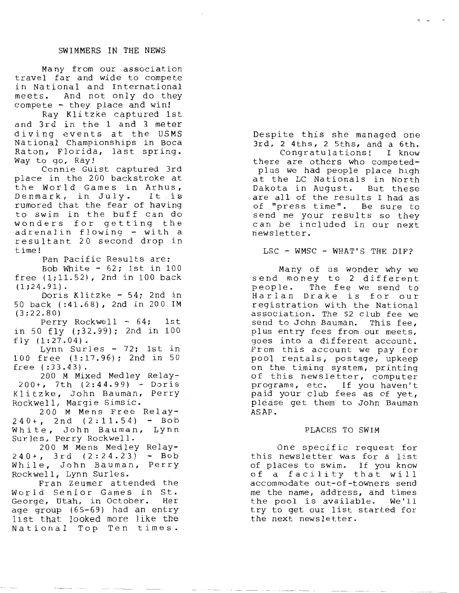Many from our association travel far and wide to compete in National and International meets. And not only do they compete - they place and win!

Ray Klitzke captured 1st and 3rd in the 1 and 3 meter diving events at the USMS National Championships in Boca Raton, Florida, last spring. Way to go, Ray!

Connie Guist captured 3rd place in the 200 backstroke at the World Games in Arhus, Denmark, in July. It is rumored that the fear of having to swim in the buff can do wonders for getting the adrenalin flowing - with a resultant 20 second drop in time!

Pan Pacific Results are: Bob White  $-62;$  1st in 100 free (1;11.52), 2nd in 100 back  $(1;24.91)$ .

Doris Klitzke - 54; 2nd in 50 back ( :41.68), 2nd in 200 **IM**  (3:22.80)

Perry Rockwell - 64; 1st in 50 fly (;32.99); 2nd in 100 fly (1:27.04).

Lynn Surles - 72; 1st in 100 free (1:17.96); 2nd in 50<br>free (:33.43).

free ( : 3 3 . 4 3) . 200 **M** Mixed Medley Relay-200+, 7th (2:44.99) - Doris Klitzke, John Bauman, Perry Rockwell, Margie Simsic.

200 M Mens Free Relay-240+, 2nd (2:11.54) - Bob White, John Bauman, Lynn Surles, Perry Rockwell.

200 M Mens Medley Relay-240+, 3rd (2:24.23) - Bob While, John Bauman, Perry Rockwell, Lynn Surles.

Fran Zeumer attended the World Senior Games in St. George, Utah, in October. Her age group (65-69) had an entry list that looked more like the National Top Ten times.

Despite this she managed one 3rd, 2 4ths, 2 Sths, and a 6th. Congratulations! I know there are others who competedpl us we had people place high at the LC Nationals in North Dakota in August. But these are all of the results I had as of "press time". Be sure to send me your results so they can be included in our next news letter.

LSC - WMSC - WHAT'S THE DIF?

Many of us wonder why we send money to 2 different<br>people. The fee we send to The fee we send to Harlan Drake is for our registration with the National association. The \$2 club fee we send to John Bauman. This fee, plus entry fees from our meets, goes into a different account. From this account we pay for pool rentals, postage, upkeep on the timing system, printing of this newsletter, computer programs, etc. If you haven't paid your club fees as of yet, please get them to John Bauman **ASAP.** 

#### PLACES TO **SWIM**

One specific request for this newsletter was for a list of places to swim. If you know of a facility that will accommodate out-of-towners send me the name, address, and times the pool is available. We'll try to get our list started for the next newsletter.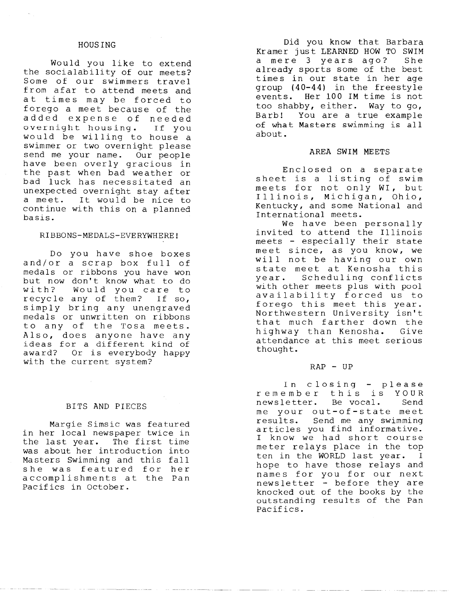# HOUSING

Would you like to extend the socialability of our meets? Some of our swimmers travel from afar to attend meets and at times may be forced to forego a meet because of the added expense of needed overnight housing. If you would be willing to house a swimmer or two overnight please send me your name. Our people have been overly gracious in the past when bad weather or bad luck has necessitated an unexpected overnight stay after a meet. It would be nice to continue with this on a planned basis.

#### RIBBONS-MEDALS-EVERYWHERE!

Do you have shoe boxes and/or a scrap box full of medals or ribbons you have won but now don't know what to do with? Would you care to recycle any of them? If so, simply bring any unengraved medals or unwritten on ribbons to any of the Tosa meets. also, does anyone have any deas for a different kind of award? Or is everybody happy with the current system?

## BITS AND PIECES

Margie Simsic was featured in her local newspaper twice in the last year. The first time was about her introduction into Masters Swimming and this fall she was featured for her accomplishments at the Pan Pacifies in October.

Did you know that Barbara Kramer just LEARNED HOW TO SWIM<br>a mere 3 vears ago? She a mere 3 years ago? already sports some of the best times in our state in her age group **(40-44)** in the freestyle events. Her 100 **IM** time is not too shabby, either. Way to go, Barb! You are a true example of what Masters swimming is all about.

#### **AREA SWIM** MEETS

Enclosed on a separate sheet is a listing of swim meets for not only WI, but Illinois, Michigan, Ohio, Kentucky, and some National and International meets.

We have been personally invited to attend the Illinois meets - especially their state meet since, as you know, we will not be having our own state meet at Kenosha this year. Scheduling conflicts with other meets plus with pool availability forced us to availability forced us to<br>forego this meet this year. Northwestern University isn't that much farther down the highway than Kenosha. Give attendance at this meet serious thought.

#### **RAP** - UP

In closing - please remember this is YOUR<br>newsletter. Be vocal. Send news letter. Be vocal. me your out-of-state meet results. Send me any swimming articles you find informative. I know we had short course meter relays place in the top ten in the WORLD last year. I hope to have those relays and nope to have ensee rerajo and newsletter - before they are knocked out of the books by the outstanding results of the Pan Pacifies.